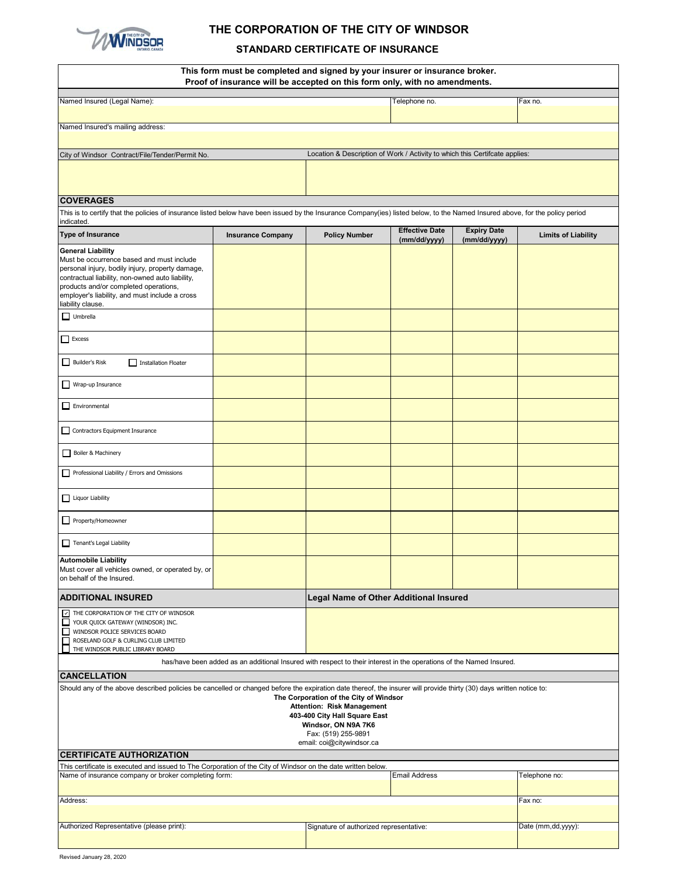

## **THE CORPORATION OF THE CITY OF WINDSOR**

## **STANDARD CERTIFICATE OF INSURANCE**

|                                                                                                                                                                                                                                                                                               | This form must be completed and signed by your insurer or insurance broker.<br>Proof of insurance will be accepted on this form only, with no amendments. |                                                                                                                                                                                         |                                               |                                    |                            |  |  |
|-----------------------------------------------------------------------------------------------------------------------------------------------------------------------------------------------------------------------------------------------------------------------------------------------|-----------------------------------------------------------------------------------------------------------------------------------------------------------|-----------------------------------------------------------------------------------------------------------------------------------------------------------------------------------------|-----------------------------------------------|------------------------------------|----------------------------|--|--|
| Named Insured (Legal Name):                                                                                                                                                                                                                                                                   |                                                                                                                                                           | Telephone no.                                                                                                                                                                           |                                               | Fax no.                            |                            |  |  |
|                                                                                                                                                                                                                                                                                               |                                                                                                                                                           |                                                                                                                                                                                         |                                               |                                    |                            |  |  |
| Named Insured's mailing address:                                                                                                                                                                                                                                                              |                                                                                                                                                           |                                                                                                                                                                                         |                                               |                                    |                            |  |  |
| City of Windsor Contract/File/Tender/Permit No.                                                                                                                                                                                                                                               |                                                                                                                                                           | Location & Description of Work / Activity to which this Certifcate applies:                                                                                                             |                                               |                                    |                            |  |  |
|                                                                                                                                                                                                                                                                                               |                                                                                                                                                           |                                                                                                                                                                                         |                                               |                                    |                            |  |  |
| <b>COVERAGES</b>                                                                                                                                                                                                                                                                              |                                                                                                                                                           |                                                                                                                                                                                         |                                               |                                    |                            |  |  |
| This is to certify that the policies of insurance listed below have been issued by the Insurance Company(ies) listed below, to the Named Insured above, for the policy period<br>indicated.                                                                                                   |                                                                                                                                                           |                                                                                                                                                                                         |                                               |                                    |                            |  |  |
| <b>Type of Insurance</b>                                                                                                                                                                                                                                                                      | <b>Insurance Company</b>                                                                                                                                  | <b>Policy Number</b>                                                                                                                                                                    | <b>Effective Date</b><br>(mm/dd/yyyy)         | <b>Expiry Date</b><br>(mm/dd/yyyy) | <b>Limits of Liability</b> |  |  |
| <b>General Liability</b><br>Must be occurrence based and must include<br>personal injury, bodily injury, property damage,<br>contractual liability, non-owned auto liability,<br>products and/or completed operations,<br>employer's liability, and must include a cross<br>liability clause. |                                                                                                                                                           |                                                                                                                                                                                         |                                               |                                    |                            |  |  |
| $\Box$ Umbrella                                                                                                                                                                                                                                                                               |                                                                                                                                                           |                                                                                                                                                                                         |                                               |                                    |                            |  |  |
| $\Box$ Excess                                                                                                                                                                                                                                                                                 |                                                                                                                                                           |                                                                                                                                                                                         |                                               |                                    |                            |  |  |
| Builder's Risk<br>Installation Floater                                                                                                                                                                                                                                                        |                                                                                                                                                           |                                                                                                                                                                                         |                                               |                                    |                            |  |  |
| Wrap-up Insurance                                                                                                                                                                                                                                                                             |                                                                                                                                                           |                                                                                                                                                                                         |                                               |                                    |                            |  |  |
| $\Box$ Environmental                                                                                                                                                                                                                                                                          |                                                                                                                                                           |                                                                                                                                                                                         |                                               |                                    |                            |  |  |
| Contractors Equipment Insurance                                                                                                                                                                                                                                                               |                                                                                                                                                           |                                                                                                                                                                                         |                                               |                                    |                            |  |  |
| Boiler & Machinery                                                                                                                                                                                                                                                                            |                                                                                                                                                           |                                                                                                                                                                                         |                                               |                                    |                            |  |  |
| Professional Liability / Errors and Omissions                                                                                                                                                                                                                                                 |                                                                                                                                                           |                                                                                                                                                                                         |                                               |                                    |                            |  |  |
| Liquor Liability                                                                                                                                                                                                                                                                              |                                                                                                                                                           |                                                                                                                                                                                         |                                               |                                    |                            |  |  |
| Property/Homeowner                                                                                                                                                                                                                                                                            |                                                                                                                                                           |                                                                                                                                                                                         |                                               |                                    |                            |  |  |
| Tenant's Legal Liability                                                                                                                                                                                                                                                                      |                                                                                                                                                           |                                                                                                                                                                                         |                                               |                                    |                            |  |  |
| <b>Automobile Liability</b><br>Must cover all vehicles owned, or operated by, or<br>on behalf of the Insured.                                                                                                                                                                                 |                                                                                                                                                           |                                                                                                                                                                                         |                                               |                                    |                            |  |  |
| <b>ADDITIONAL INSURED</b>                                                                                                                                                                                                                                                                     |                                                                                                                                                           |                                                                                                                                                                                         | <b>Legal Name of Other Additional Insured</b> |                                    |                            |  |  |
| $\boxed{\sim}$ THE CORPORATION OF THE CITY OF WINDSOR<br>□<br>YOUR QUICK GATEWAY (WINDSOR) INC.<br>WINDSOR POLICE SERVICES BOARD<br>$\Box$<br>П<br>ROSELAND GOLF & CURLING CLUB LIMITED<br>L<br>THE WINDSOR PUBLIC LIBRARY BOARD                                                              |                                                                                                                                                           |                                                                                                                                                                                         |                                               |                                    |                            |  |  |
|                                                                                                                                                                                                                                                                                               | has/have been added as an additional Insured with respect to their interest in the operations of the Named Insured.                                       |                                                                                                                                                                                         |                                               |                                    |                            |  |  |
| <b>CANCELLATION</b><br>Should any of the above described policies be cancelled or changed before the expiration date thereof, the insurer will provide thirty (30) days written notice to:                                                                                                    |                                                                                                                                                           | The Corporation of the City of Windsor<br><b>Attention: Risk Management</b><br>403-400 City Hall Square East<br>Windsor, ON N9A 7K6<br>Fax: (519) 255-9891<br>email: coi@citywindsor.ca |                                               |                                    |                            |  |  |
| <b>CERTIFICATE AUTHORIZATION</b>                                                                                                                                                                                                                                                              |                                                                                                                                                           |                                                                                                                                                                                         |                                               |                                    |                            |  |  |
| This certificate is executed and issued to The Corporation of the City of Windsor on the date written below.<br>Name of insurance company or broker completing form:                                                                                                                          |                                                                                                                                                           |                                                                                                                                                                                         | <b>Email Address</b>                          |                                    | Telephone no:              |  |  |
|                                                                                                                                                                                                                                                                                               |                                                                                                                                                           |                                                                                                                                                                                         |                                               |                                    |                            |  |  |
| Address:                                                                                                                                                                                                                                                                                      |                                                                                                                                                           |                                                                                                                                                                                         |                                               | Fax no:                            |                            |  |  |
| Authorized Representative (please print):                                                                                                                                                                                                                                                     |                                                                                                                                                           | Signature of authorized representative:                                                                                                                                                 |                                               |                                    | Date (mm,dd,yyyy):         |  |  |